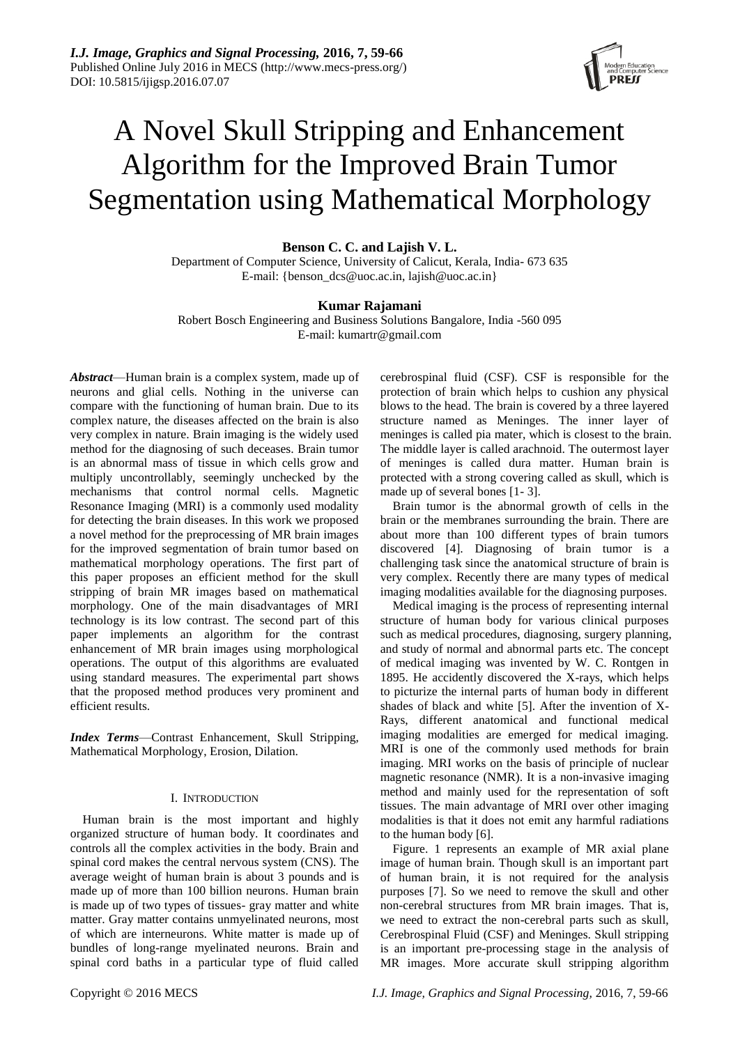

# A Novel Skull Stripping and Enhancement Algorithm for the Improved Brain Tumor Segmentation using Mathematical Morphology

**Benson C. C. and Lajish V. L.**

Department of Computer Science, University of Calicut, Kerala, India- 673 635 E-mail: {benson\_dcs@uoc.ac.in, lajish@uoc.ac.in}

## **Kumar Rajamani**

Robert Bosch Engineering and Business Solutions Bangalore, India -560 095 E-mail: kumartr@gmail.com

*Abstract*—Human brain is a complex system, made up of neurons and glial cells. Nothing in the universe can compare with the functioning of human brain. Due to its complex nature, the diseases affected on the brain is also very complex in nature. Brain imaging is the widely used method for the diagnosing of such deceases. Brain tumor is an abnormal mass of tissue in which cells grow and multiply uncontrollably, seemingly unchecked by the mechanisms that control normal cells. Magnetic Resonance Imaging (MRI) is a commonly used modality for detecting the brain diseases. In this work we proposed a novel method for the preprocessing of MR brain images for the improved segmentation of brain tumor based on mathematical morphology operations. The first part of this paper proposes an efficient method for the skull stripping of brain MR images based on mathematical morphology. One of the main disadvantages of MRI technology is its low contrast. The second part of this paper implements an algorithm for the contrast enhancement of MR brain images using morphological operations. The output of this algorithms are evaluated using standard measures. The experimental part shows that the proposed method produces very prominent and efficient results.

*Index Terms*—Contrast Enhancement, Skull Stripping, Mathematical Morphology, Erosion, Dilation.

### I. INTRODUCTION

Human brain is the most important and highly organized structure of human body. It coordinates and controls all the complex activities in the body. Brain and spinal cord makes the central nervous system (CNS). The average weight of human brain is about 3 pounds and is made up of more than 100 billion neurons. Human brain is made up of two types of tissues- gray matter and white matter. Gray matter contains unmyelinated neurons, most of which are interneurons. White matter is made up of bundles of long-range myelinated neurons. Brain and spinal cord baths in a particular type of fluid called

cerebrospinal fluid (CSF). CSF is responsible for the protection of brain which helps to cushion any physical blows to the head. The brain is covered by a three layered structure named as Meninges. The inner layer of meninges is called pia mater, which is closest to the brain. The middle layer is called arachnoid. The outermost layer of meninges is called dura matter. Human brain is protected with a strong covering called as skull, which is made up of several bones [1- 3].

Brain tumor is the abnormal growth of cells in the brain or the membranes surrounding the brain. There are about more than 100 different types of brain tumors discovered [4]. Diagnosing of brain tumor is a challenging task since the anatomical structure of brain is very complex. Recently there are many types of medical imaging modalities available for the diagnosing purposes.

Medical imaging is the process of representing internal structure of human body for various clinical purposes such as medical procedures, diagnosing, surgery planning, and study of normal and abnormal parts etc. The concept of medical imaging was invented by W. C. Rontgen in 1895. He accidently discovered the X-rays, which helps to picturize the internal parts of human body in different shades of black and white [5]. After the invention of X-Rays, different anatomical and functional medical imaging modalities are emerged for medical imaging. MRI is one of the commonly used methods for brain imaging. MRI works on the basis of principle of nuclear magnetic resonance (NMR). It is a non-invasive imaging method and mainly used for the representation of soft tissues. The main advantage of MRI over other imaging modalities is that it does not emit any harmful radiations to the human body [6].

Figure. 1 represents an example of MR axial plane image of human brain. Though skull is an important part of human brain, it is not required for the analysis purposes [7]. So we need to remove the skull and other non-cerebral structures from MR brain images. That is, we need to extract the non-cerebral parts such as skull, Cerebrospinal Fluid (CSF) and Meninges. Skull stripping is an important pre-processing stage in the analysis of MR images. More accurate skull stripping algorithm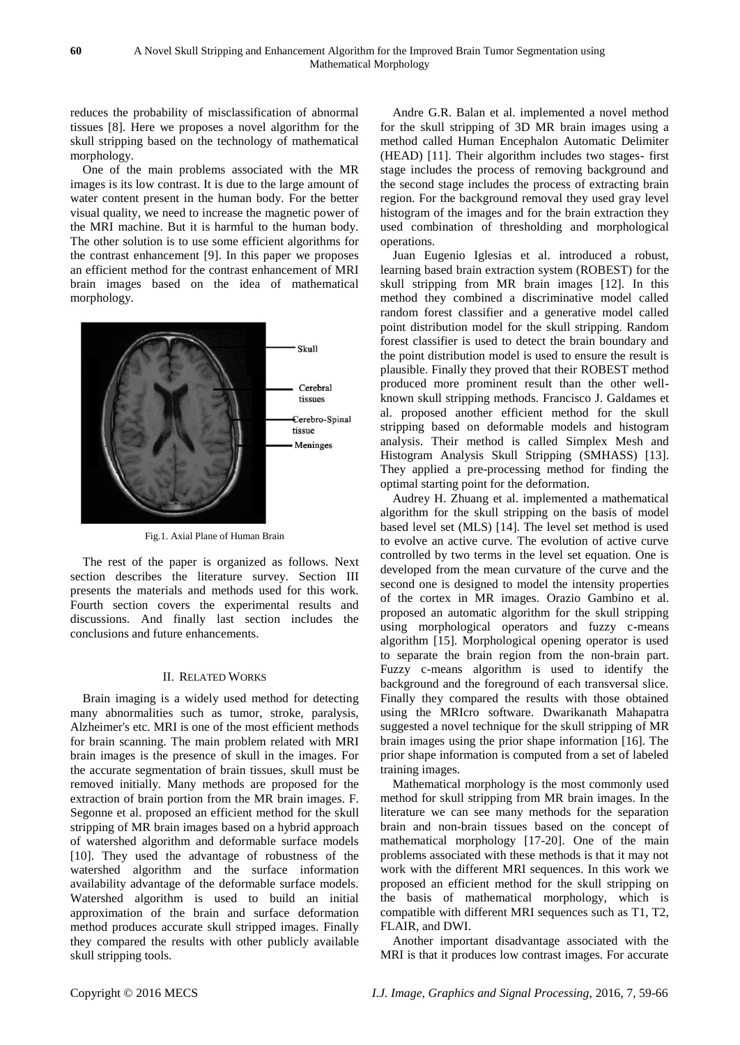reduces the probability of misclassification of abnormal tissues [8]. Here we proposes a novel algorithm for the skull stripping based on the technology of mathematical morphology.

One of the main problems associated with the MR images is its low contrast. It is due to the large amount of water content present in the human body. For the better visual quality, we need to increase the magnetic power of the MRI machine. But it is harmful to the human body. The other solution is to use some efficient algorithms for the contrast enhancement [9]. In this paper we proposes an efficient method for the contrast enhancement of MRI brain images based on the idea of mathematical morphology.



Fig.1. Axial Plane of Human Brain

The rest of the paper is organized as follows. Next section describes the literature survey. Section III presents the materials and methods used for this work. Fourth section covers the experimental results and discussions. And finally last section includes the conclusions and future enhancements.

### II. RELATED WORKS

Brain imaging is a widely used method for detecting many abnormalities such as tumor, stroke, paralysis, Alzheimer's etc. MRI is one of the most efficient methods for brain scanning. The main problem related with MRI brain images is the presence of skull in the images. For the accurate segmentation of brain tissues, skull must be removed initially. Many methods are proposed for the extraction of brain portion from the MR brain images. F. Segonne et al. proposed an efficient method for the skull stripping of MR brain images based on a hybrid approach of watershed algorithm and deformable surface models [10]. They used the advantage of robustness of the watershed algorithm and the surface information availability advantage of the deformable surface models. Watershed algorithm is used to build an initial approximation of the brain and surface deformation method produces accurate skull stripped images. Finally they compared the results with other publicly available skull stripping tools.

Andre G.R. Balan et al. implemented a novel method for the skull stripping of 3D MR brain images using a method called Human Encephalon Automatic Delimiter (HEAD) [11]. Their algorithm includes two stages- first stage includes the process of removing background and the second stage includes the process of extracting brain region. For the background removal they used gray level histogram of the images and for the brain extraction they used combination of thresholding and morphological operations.

Juan Eugenio Iglesias et al. introduced a robust, learning based brain extraction system (ROBEST) for the skull stripping from MR brain images [12]. In this method they combined a discriminative model called random forest classifier and a generative model called point distribution model for the skull stripping. Random forest classifier is used to detect the brain boundary and the point distribution model is used to ensure the result is plausible. Finally they proved that their ROBEST method produced more prominent result than the other wellknown skull stripping methods. Francisco J. Galdames et al. proposed another efficient method for the skull stripping based on deformable models and histogram analysis. Their method is called Simplex Mesh and Histogram Analysis Skull Stripping (SMHASS) [13]. They applied a pre-processing method for finding the optimal starting point for the deformation.

Audrey H. Zhuang et al. implemented a mathematical algorithm for the skull stripping on the basis of model based level set (MLS) [14]. The level set method is used to evolve an active curve. The evolution of active curve controlled by two terms in the level set equation. One is developed from the mean curvature of the curve and the second one is designed to model the intensity properties of the cortex in MR images. Orazio Gambino et al. proposed an automatic algorithm for the skull stripping using morphological operators and fuzzy c-means algorithm [15]. Morphological opening operator is used to separate the brain region from the non-brain part. Fuzzy c-means algorithm is used to identify the background and the foreground of each transversal slice. Finally they compared the results with those obtained using the MRIcro software. Dwarikanath Mahapatra suggested a novel technique for the skull stripping of MR brain images using the prior shape information [16]. The prior shape information is computed from a set of labeled training images.

Mathematical morphology is the most commonly used method for skull stripping from MR brain images. In the literature we can see many methods for the separation brain and non-brain tissues based on the concept of mathematical morphology [17-20]. One of the main problems associated with these methods is that it may not work with the different MRI sequences. In this work we proposed an efficient method for the skull stripping on the basis of mathematical morphology, which is compatible with different MRI sequences such as T1, T2, FLAIR, and DWI.

Another important disadvantage associated with the MRI is that it produces low contrast images. For accurate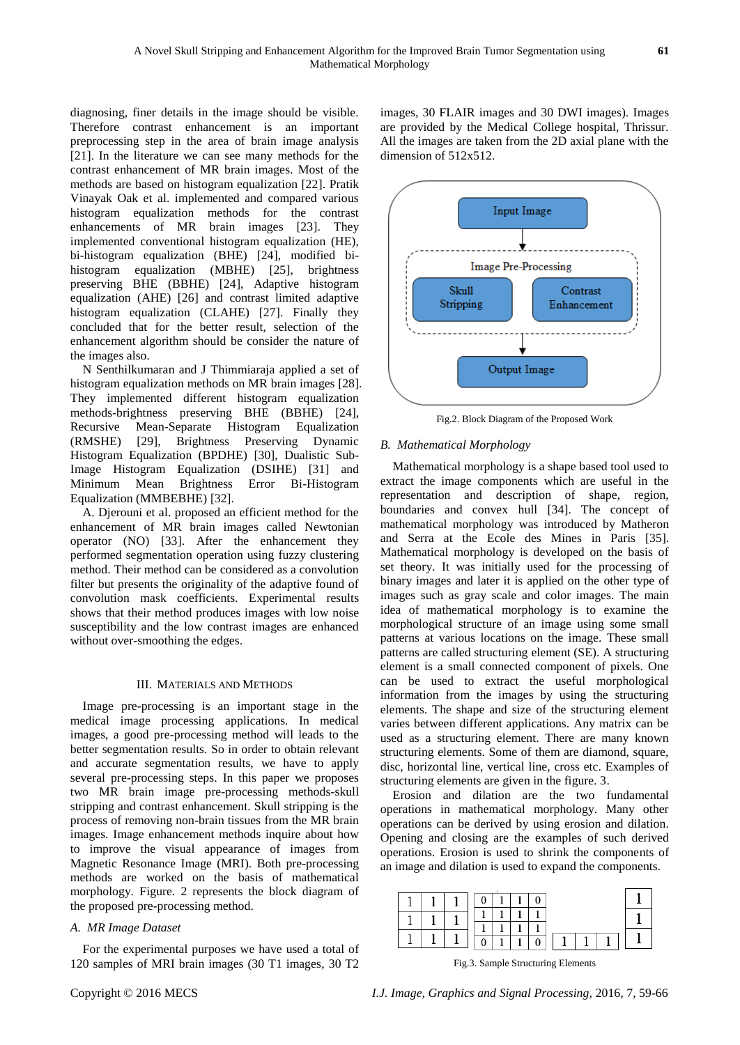diagnosing, finer details in the image should be visible. Therefore contrast enhancement is an important preprocessing step in the area of brain image analysis [21]. In the literature we can see many methods for the contrast enhancement of MR brain images. Most of the methods are based on histogram equalization [22]. Pratik Vinayak Oak et al. implemented and compared various histogram equalization methods for the contrast enhancements of MR brain images [23]. They implemented conventional histogram equalization (HE), bi-histogram equalization (BHE) [24], modified bihistogram equalization (MBHE) [25], brightness preserving BHE (BBHE) [24], Adaptive histogram equalization (AHE) [26] and contrast limited adaptive histogram equalization (CLAHE) [27]. Finally they concluded that for the better result, selection of the enhancement algorithm should be consider the nature of the images also.

N Senthilkumaran and J Thimmiaraja applied a set of histogram equalization methods on MR brain images [28]. They implemented different histogram equalization methods-brightness preserving BHE (BBHE) [24], Recursive Mean-Separate Histogram Equalization (RMSHE) [29], Brightness Preserving Dynamic Histogram Equalization (BPDHE) [30], Dualistic Sub-Image Histogram Equalization (DSIHE) [31] and Minimum Mean Brightness Error Bi-Histogram Equalization (MMBEBHE) [32].

A. Djerouni et al. proposed an efficient method for the enhancement of MR brain images called Newtonian operator (NO) [33]. After the enhancement they performed segmentation operation using fuzzy clustering method. Their method can be considered as a convolution filter but presents the originality of the adaptive found of convolution mask coefficients. Experimental results shows that their method produces images with low noise susceptibility and the low contrast images are enhanced without over-smoothing the edges.

### III. MATERIALS AND METHODS

Image pre-processing is an important stage in the medical image processing applications. In medical images, a good pre-processing method will leads to the better segmentation results. So in order to obtain relevant and accurate segmentation results, we have to apply several pre-processing steps. In this paper we proposes two MR brain image pre-processing methods-skull stripping and contrast enhancement. Skull stripping is the process of removing non-brain tissues from the MR brain images. Image enhancement methods inquire about how to improve the visual appearance of images from Magnetic Resonance Image (MRI). Both pre-processing methods are worked on the basis of mathematical morphology. Figure. 2 represents the block diagram of the proposed pre-processing method.

## *A. MR Image Dataset*

For the experimental purposes we have used a total of 120 samples of MRI brain images (30 T1 images, 30 T2

images, 30 FLAIR images and 30 DWI images). Images are provided by the Medical College hospital, Thrissur. All the images are taken from the 2D axial plane with the dimension of 512x512.



Fig.2. Block Diagram of the Proposed Work

### *B. Mathematical Morphology*

Mathematical morphology is a shape based tool used to extract the image components which are useful in the representation and description of shape, region, boundaries and convex hull [34]. The concept of mathematical morphology was introduced by Matheron and Serra at the Ecole des Mines in Paris [35]. Mathematical morphology is developed on the basis of set theory. It was initially used for the processing of binary images and later it is applied on the other type of images such as gray scale and color images. The main idea of mathematical morphology is to examine the morphological structure of an image using some small patterns at various locations on the image. These small patterns are called structuring element (SE). A structuring element is a small connected component of pixels. One can be used to extract the useful morphological information from the images by using the structuring elements. The shape and size of the structuring element varies between different applications. Any matrix can be used as a structuring element. There are many known structuring elements. Some of them are diamond, square, disc, horizontal line, vertical line, cross etc. Examples of structuring elements are given in the figure. 3.

Erosion and dilation are the two fundamental operations in mathematical morphology. Many other operations can be derived by using erosion and dilation. Opening and closing are the examples of such derived operations. Erosion is used to shrink the components of an image and dilation is used to expand the components.



Fig.3. Sample Structuring Elements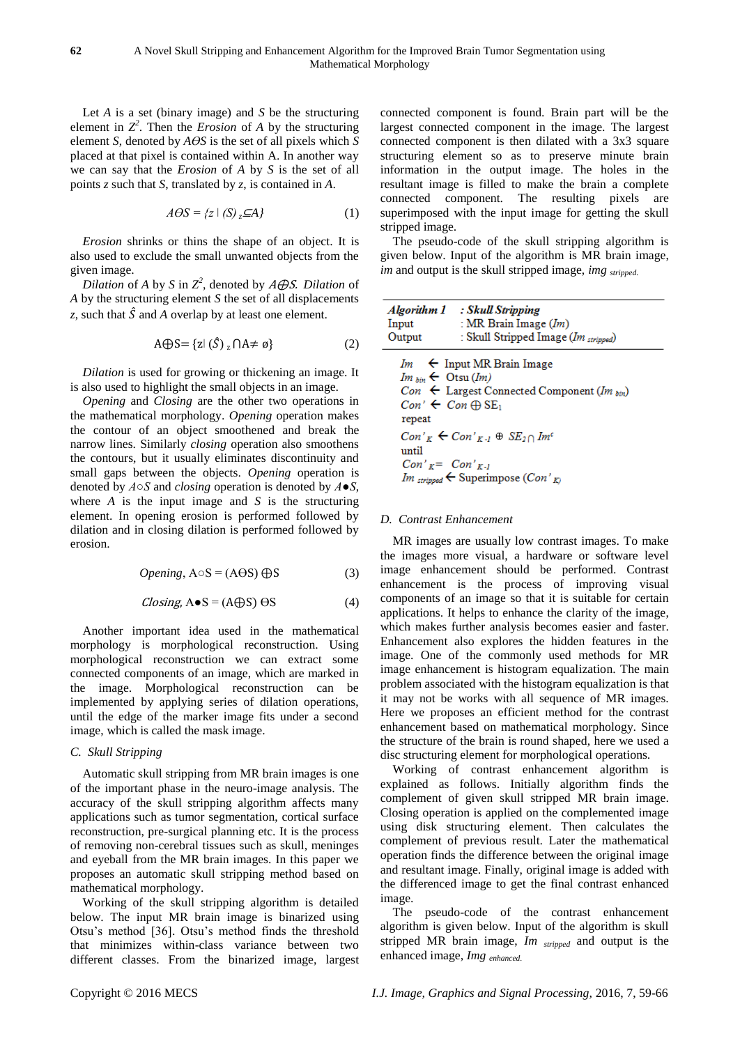Let *A* is a set (binary image) and *S* be the structuring element in  $Z^2$ . Then the *Erosion* of *A* by the structuring element *S*, denoted by  $A\Theta S$  is the set of all pixels which *S* placed at that pixel is contained within A. In another way we can say that the *Erosion* of *A* by *S* is the set of all points *z* such that *S*, translated by *z*, is contained in *A*.

$$
A\Theta S = \{z \mid (S) \, z \, \subseteq A\} \tag{1}
$$

*Erosion* shrinks or thins the shape of an object. It is also used to exclude the small unwanted objects from the given image.

*Dilation* of *A* by *S* in  $Z^2$ , denoted by *A* $\bigoplus$ *S. Dilation* of *A* by the structuring element *S* the set of all displacements *z*, such that  $\hat{S}$  and *A* overlap by at least one element.

$$
A \bigoplus S = \{z \mid (\hat{S})_z \cap A \neq \emptyset\} \tag{2}
$$

*Dilation* is used for growing or thickening an image. It is also used to highlight the small objects in an image.

*Opening* and *Closing* are the other two operations in the mathematical morphology. *Opening* operation makes the contour of an object smoothened and break the narrow lines. Similarly *closing* operation also smoothens the contours, but it usually eliminates discontinuity and small gaps between the objects. *Opening* operation is denoted by *A○S* and *closing* operation is denoted by *A●S*, where *A* is the input image and *S* is the structuring element. In opening erosion is performed followed by dilation and in closing dilation is performed followed by erosion.

$$
Opening, A \circ S = (A \Theta S) \oplus S \tag{3}
$$

$$
Closing, A \bullet S = (A \oplus S) \Theta S \tag{4}
$$

Another important idea used in the mathematical morphology is morphological reconstruction. Using morphological reconstruction we can extract some connected components of an image, which are marked in the image. Morphological reconstruction can be implemented by applying series of dilation operations, until the edge of the marker image fits under a second image, which is called the mask image.

## *C. Skull Stripping*

Automatic skull stripping from MR brain images is one of the important phase in the neuro-image analysis. The accuracy of the skull stripping algorithm affects many applications such as tumor segmentation, cortical surface reconstruction, pre-surgical planning etc. It is the process of removing non-cerebral tissues such as skull, meninges and eyeball from the MR brain images. In this paper we proposes an automatic skull stripping method based on mathematical morphology.

Working of the skull stripping algorithm is detailed below. The input MR brain image is binarized using Otsu's method [36]. Otsu's method finds the threshold that minimizes within-class variance between two different classes. From the binarized image, largest connected component is found. Brain part will be the largest connected component in the image. The largest connected component is then dilated with a 3x3 square structuring element so as to preserve minute brain information in the output image. The holes in the resultant image is filled to make the brain a complete connected component. The resulting pixels are superimposed with the input image for getting the skull stripped image.

The pseudo-code of the skull stripping algorithm is given below. Input of the algorithm is MR brain image, *im* and output is the skull stripped image, *img stripped* 

| Input<br>Output                                                                                      | Algorithm 1 : Skull Stripping<br>: MR Brain Image $(Im)$<br>: Skull Stripped Image (Im stripped)                                                                  |
|------------------------------------------------------------------------------------------------------|-------------------------------------------------------------------------------------------------------------------------------------------------------------------|
| $Im_{\text{bin}} \leftarrow \text{Otsu}(Im)$<br>$Con' \leftarrow Con \oplus SE_1$<br>repeat<br>until | $Im \leftarrow$ Input MR Brain Image<br>$Con \leftarrow$ Largest Connected Component (Im $_{bin}$ )<br>$Con'_{K} \leftarrow Con'_{K-1} \oplus SE_{2} \cap Im^{c}$ |
| $Con'_{K} = Con'_{K-1}$                                                                              | Im stripped $\leftarrow$ Superimpose $(Con'_{K})$                                                                                                                 |

#### *D. Contrast Enhancement*

MR images are usually low contrast images. To make the images more visual, a hardware or software level image enhancement should be performed. Contrast enhancement is the process of improving visual components of an image so that it is suitable for certain applications. It helps to enhance the clarity of the image, which makes further analysis becomes easier and faster. Enhancement also explores the hidden features in the image. One of the commonly used methods for MR image enhancement is histogram equalization. The main problem associated with the histogram equalization is that it may not be works with all sequence of MR images. Here we proposes an efficient method for the contrast enhancement based on mathematical morphology. Since the structure of the brain is round shaped, here we used a disc structuring element for morphological operations.

Working of contrast enhancement algorithm is explained as follows. Initially algorithm finds the complement of given skull stripped MR brain image. Closing operation is applied on the complemented image using disk structuring element. Then calculates the complement of previous result. Later the mathematical operation finds the difference between the original image and resultant image. Finally, original image is added with the differenced image to get the final contrast enhanced image.

The pseudo-code of the contrast enhancement algorithm is given below. Input of the algorithm is skull stripped MR brain image, *Im stripped* and output is the enhanced image, *Img enhanced*.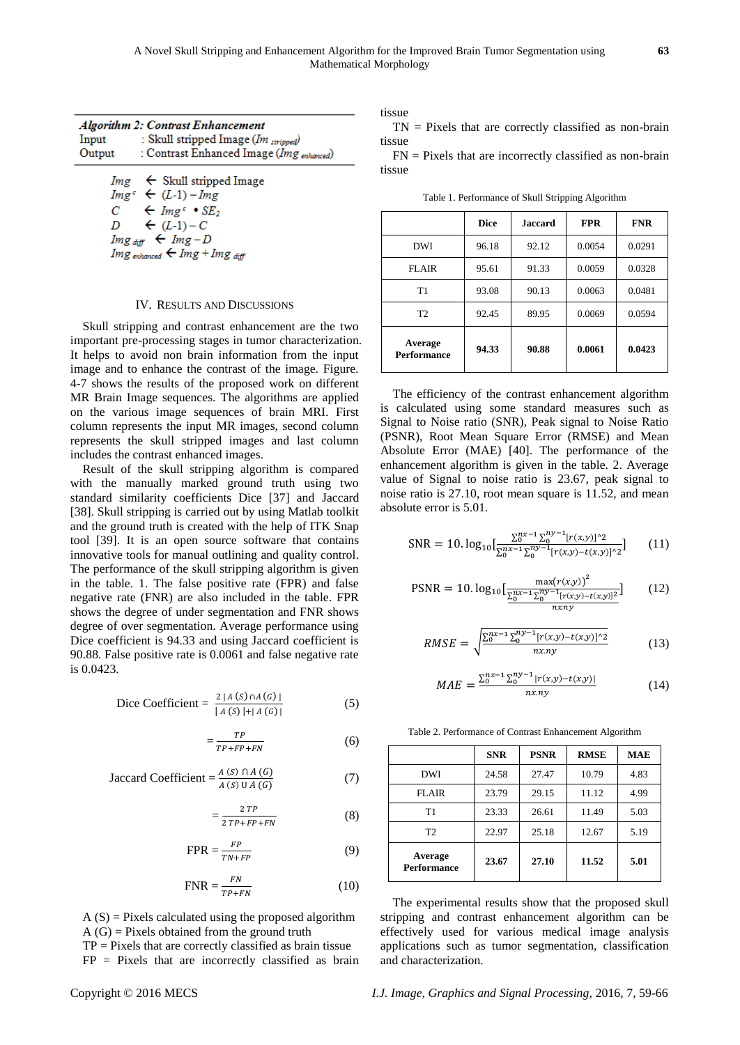| Input<br>Output | <b>Algorithm 2: Contrast Enhancement</b><br>: Skull stripped Image (Im stripped)<br>: Contrast Enhanced Image (Img <sub>enhanced</sub> )                                                                                                                  |
|-----------------|-----------------------------------------------------------------------------------------------------------------------------------------------------------------------------------------------------------------------------------------------------------|
|                 | $Im g \leftarrow$ Skull stripped Image<br>$Img^c \leftarrow (L-1) - Img$<br>$C \leftarrow \text{Im} \, g^c \cdot SE_2$<br>$D \leftarrow (L-1)-C$<br>$Im g_{diff}$ $\leftarrow Im g - D$<br>Img <sub>enhanced</sub> $\leftarrow$ Img + Img <sub>diff</sub> |

#### IV. RESULTS AND DISCUSSIONS

Skull stripping and contrast enhancement are the two important pre-processing stages in tumor characterization. It helps to avoid non brain information from the input image and to enhance the contrast of the image. Figure. 4-7 shows the results of the proposed work on different MR Brain Image sequences. The algorithms are applied on the various image sequences of brain MRI. First column represents the input MR images, second column represents the skull stripped images and last column includes the contrast enhanced images.

Result of the skull stripping algorithm is compared with the manually marked ground truth using two standard similarity coefficients Dice [37] and Jaccard [38]. Skull stripping is carried out by using Matlab toolkit and the ground truth is created with the help of ITK Snap tool [39]. It is an open source software that contains innovative tools for manual outlining and quality control. The performance of the skull stripping algorithm is given in the table. 1. The false positive rate (FPR) and false negative rate (FNR) are also included in the table. FPR shows the degree of under segmentation and FNR shows degree of over segmentation. Average performance using Dice coefficient is 94.33 and using Jaccard coefficient is 90.88. False positive rate is 0.0061 and false negative rate is 0.0423.

Dice Coefficient = 
$$
\frac{2 |A(S) \cap A(G)|}{|A(S)| + |A(G)|}
$$
 (5)

$$
=\frac{TP}{TP+FP+FN}
$$
 (6)

Jaccard Coefficient = 
$$
\frac{A(S) \cap A(G)}{A(S) \cup A(G)}
$$
 (7)

$$
=\frac{2\,TP}{2\,TP+FP+FN}
$$
 (8)

$$
FPR = \frac{FP}{TN + FP}
$$
 (9)

$$
FNR = \frac{FN}{TP + FN}
$$
 (10)

 $A(S)$  = Pixels calculated using the proposed algorithm  $A(G)$  = Pixels obtained from the ground truth

 $TP =$  Pixels that are correctly classified as brain tissue  $FP = \text{pixels}$  that are incorrectly classified as brain tissue

 $TN =$  Pixels that are correctly classified as non-brain tissue

 $FN$  = Pixels that are incorrectly classified as non-brain tissue

|  | Table 1. Performance of Skull Stripping Algorithm |  |  |  |
|--|---------------------------------------------------|--|--|--|
|--|---------------------------------------------------|--|--|--|

|                               | <b>Dice</b> | <b>Jaccard</b> | <b>FPR</b> | <b>FNR</b> |
|-------------------------------|-------------|----------------|------------|------------|
| DWI                           | 96.18       | 92.12          | 0.0054     | 0.0291     |
| <b>FLAIR</b>                  | 95.61       | 91.33          | 0.0059     | 0.0328     |
| T1                            | 93.08       | 90.13          | 0.0063     | 0.0481     |
| T <sub>2</sub>                | 92.45       | 89.95          | 0.0069     | 0.0594     |
| Average<br><b>Performance</b> | 94.33       | 90.88          | 0.0061     | 0.0423     |

The efficiency of the contrast enhancement algorithm is calculated using some standard measures such as Signal to Noise ratio (SNR), Peak signal to Noise Ratio (PSNR), Root Mean Square Error (RMSE) and Mean Absolute Error (MAE) [40]. The performance of the enhancement algorithm is given in the table. 2. Average value of Signal to noise ratio is 23.67, peak signal to noise ratio is 27.10, root mean square is 11.52, and mean absolute error is 5.01.

$$
SNR = 10. \log_{10} \left[ \frac{\sum_{0}^{nx-1} \sum_{0}^{ny-1} [r(x,y)]^2}{\sum_{0}^{nx-1} \sum_{0}^{ny-1} [r(x,y)-t(x,y)]^2} \right] \tag{11}
$$

$$
PSNR = 10. \log_{10} \left[ \frac{\max(r(x, y))^{2}}{\frac{\sum_{0}^{nx} 1 \sum_{0}^{ny-1} [r(x, y) - t(x, y)]^{2}}{n x. ny}} \right]
$$
(12)

$$
RMSE = \sqrt{\frac{\sum_{0}^{nx-1} \sum_{0}^{ny-1} [r(x,y) - t(x,y)]^2}{nx ny}}
$$
(13)

$$
MAE = \frac{\sum_{0}^{nx-1} \sum_{0}^{ny-1} |r(x,y) - t(x,y)|}{nx.ny}
$$
(14)

Table 2. Performance of Contrast Enhancement Algorithm

|                               | <b>SNR</b> | <b>PSNR</b> | <b>RMSE</b> | MAE  |
|-------------------------------|------------|-------------|-------------|------|
| DWI                           | 24.58      | 27.47       | 10.79       | 4.83 |
| <b>FLAIR</b>                  | 23.79      | 29.15       | 11.12       | 4.99 |
| T1                            | 23.33      | 26.61       | 11.49       | 5.03 |
| T <sub>2</sub>                | 22.97      | 25.18       | 12.67       | 5.19 |
| Average<br><b>Performance</b> | 23.67      | 27.10       | 11.52       | 5.01 |

The experimental results show that the proposed skull stripping and contrast enhancement algorithm can be effectively used for various medical image analysis applications such as tumor segmentation, classification and characterization.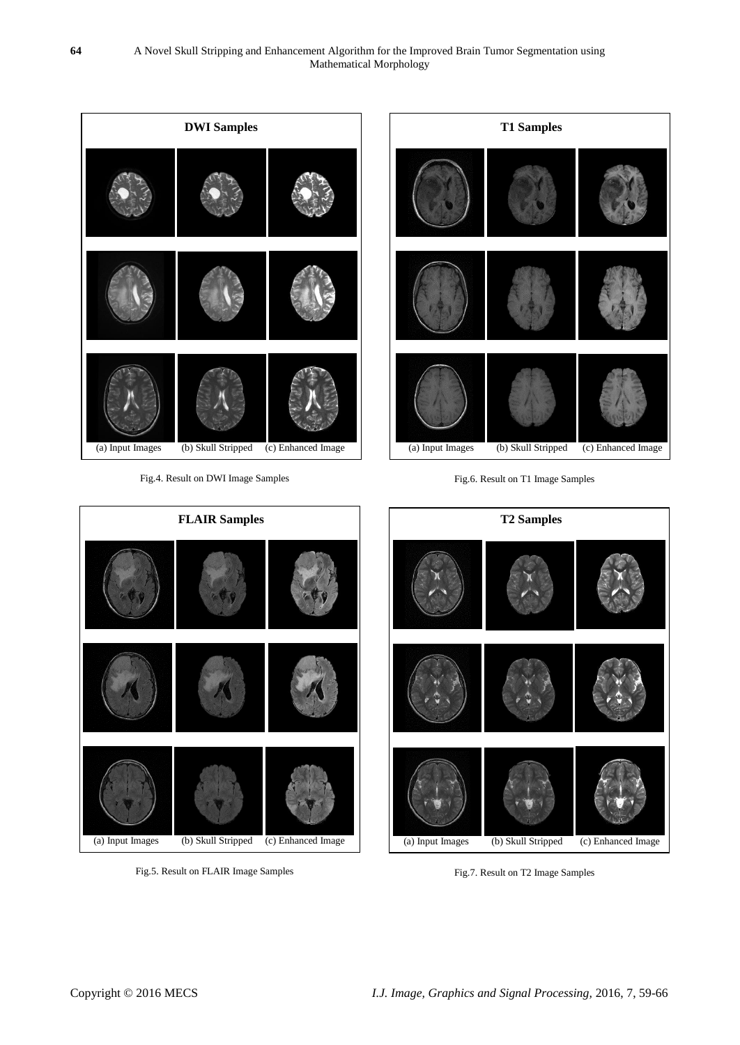

Fig.7. Result on T2 Image Samples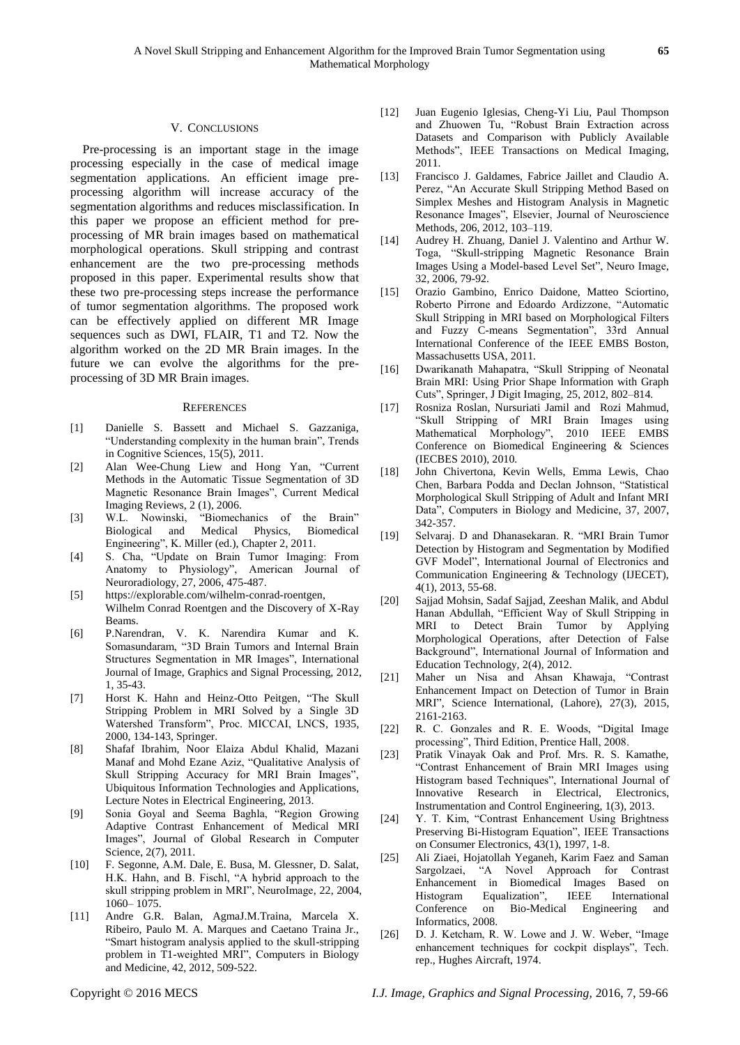#### V. CONCLUSIONS

Pre-processing is an important stage in the image processing especially in the case of medical image segmentation applications. An efficient image preprocessing algorithm will increase accuracy of the segmentation algorithms and reduces misclassification. In this paper we propose an efficient method for preprocessing of MR brain images based on mathematical morphological operations. Skull stripping and contrast enhancement are the two pre-processing methods proposed in this paper. Experimental results show that these two pre-processing steps increase the performance of tumor segmentation algorithms. The proposed work can be effectively applied on different MR Image sequences such as DWI, FLAIR, T1 and T2. Now the algorithm worked on the 2D MR Brain images. In the future we can evolve the algorithms for the preprocessing of 3D MR Brain images.

#### **REFERENCES**

- [1] Danielle S. Bassett and Michael S. Gazzaniga, ―Understanding complexity in the human brain‖, Trends in Cognitive Sciences, 15(5), 2011.
- [2] Alan Wee-Chung Liew and Hong Yan, "Current Methods in the Automatic Tissue Segmentation of 3D Magnetic Resonance Brain Images", Current Medical Imaging Reviews, 2 (1), 2006.
- [3] W.L. Nowinski, "Biomechanics of the Brain"<br>Biological and Medical Physics, Biomedical Medical Physics, Biomedical Engineering", K. Miller (ed.), Chapter 2, 2011.
- [4] S. Cha, "Update on Brain Tumor Imaging: From Anatomy to Physiology", American Journal of Neuroradiology, 27, 2006, 475-487.
- [5] https://explorable.com/wilhelm-conrad-roentgen, Wilhelm Conrad Roentgen and the Discovery of X-Ray Beams.
- [6] P.Narendran, V. K. Narendira Kumar and K. Somasundaram, "3D Brain Tumors and Internal Brain Structures Segmentation in MR Images", International Journal of Image, Graphics and Signal Processing, 2012, 1, 35-43.
- [7] Horst K. Hahn and Heinz-Otto Peitgen, "The Skull Stripping Problem in MRI Solved by a Single 3D Watershed Transform", Proc. MICCAI, LNCS, 1935, 2000, 134-143, Springer.
- [8] Shafaf Ibrahim, Noor Elaiza Abdul Khalid, Mazani Manaf and Mohd Ezane Aziz, "Qualitative Analysis of Skull Stripping Accuracy for MRI Brain Images", Ubiquitous Information Technologies and Applications, Lecture Notes in Electrical Engineering, 2013.
- [9] Sonia Goyal and Seema Baghla, "Region Growing Adaptive Contrast Enhancement of Medical MRI Images", Journal of Global Research in Computer Science, 2(7), 2011.
- [10] F. Segonne, A.M. Dale, E. Busa, M. Glessner, D. Salat, H.K. Hahn, and B. Fischl, "A hybrid approach to the skull stripping problem in MRI", NeuroImage, 22, 2004, 1060– 1075.
- [11] Andre G.R. Balan, AgmaJ.M.Traina, Marcela X. Ribeiro, Paulo M. A. Marques and Caetano Traina Jr., ―Smart histogram analysis applied to the skull-stripping problem in T1-weighted MRI", Computers in Biology and Medicine, 42, 2012, 509-522.
- [12] Juan Eugenio Iglesias, Cheng-Yi Liu, Paul Thompson and Zhuowen Tu, "Robust Brain Extraction across Datasets and Comparison with Publicly Available Methods", IEEE Transactions on Medical Imaging, 2011.
- [13] Francisco J. Galdames, Fabrice Jaillet and Claudio A. Perez, "An Accurate Skull Stripping Method Based on Simplex Meshes and Histogram Analysis in Magnetic Resonance Images", Elsevier, Journal of Neuroscience Methods, 206, 2012, 103–119.
- [14] Audrey H. Zhuang, Daniel J. Valentino and Arthur W. Toga, "Skull-stripping Magnetic Resonance Brain Images Using a Model-based Level Set", Neuro Image, 32, 2006, 79-92.
- [15] Orazio Gambino, Enrico Daidone, Matteo Sciortino, Roberto Pirrone and Edoardo Ardizzone, "Automatic Skull Stripping in MRI based on Morphological Filters and Fuzzy C-means Segmentation", 33rd Annual International Conference of the IEEE EMBS Boston, Massachusetts USA, 2011.
- [16] Dwarikanath Mahapatra, "Skull Stripping of Neonatal Brain MRI: Using Prior Shape Information with Graph Cuts", Springer, J Digit Imaging, 25, 2012, 802–814.
- [17] Rosniza Roslan, Nursuriati Jamil and Rozi Mahmud, ―Skull Stripping of MRI Brain Images using Mathematical Morphology", 2010 IEEE EMBS Conference on Biomedical Engineering & Sciences (IECBES 2010), 2010.
- [18] John Chivertona, Kevin Wells, Emma Lewis, Chao Chen, Barbara Podda and Declan Johnson, "Statistical Morphological Skull Stripping of Adult and Infant MRI Data", Computers in Biology and Medicine, 37, 2007, 342-357.
- [19] Selvaraj. D and Dhanasekaran. R. "MRI Brain Tumor Detection by Histogram and Segmentation by Modified GVF Model", International Journal of Electronics and Communication Engineering & Technology (IJECET), 4(1), 2013, 55-68.
- [20] Sajjad Mohsin, Sadaf Sajjad, Zeeshan Malik, and Abdul Hanan Abdullah, "Efficient Way of Skull Stripping in MRI to Detect Brain Tumor by Applying Morphological Operations, after Detection of False Background", International Journal of Information and Education Technology, 2(4), 2012.
- [21] Maher un Nisa and Ahsan Khawaja, "Contrast Enhancement Impact on Detection of Tumor in Brain MRI", Science International, (Lahore), 27(3), 2015, 2161-2163.
- [22] R. C. Gonzales and R. E. Woods, "Digital Image processing", Third Edition, Prentice Hall, 2008.
- [23] Pratik Vinayak Oak and Prof. Mrs. R. S. Kamathe, ―Contrast Enhancement of Brain MRI Images using Histogram based Techniques", International Journal of Innovative Research in Electrical, Electronics, Instrumentation and Control Engineering, 1(3), 2013.
- [24] Y. T. Kim, "Contrast Enhancement Using Brightness Preserving Bi-Histogram Equation", IEEE Transactions on Consumer Electronics, 43(1), 1997, 1-8.
- [25] Ali Ziaei, Hojatollah Yeganeh, Karim Faez and Saman Sargolzaei, "A Novel Approach for Contrast Enhancement in Biomedical Images Based on Histogram Equalization", IEEE International Conference on Bio-Medical Engineering and Informatics, 2008.
- [26] D. J. Ketcham, R. W. Lowe and J. W. Weber, "Image enhancement techniques for cockpit displays", Tech. rep., Hughes Aircraft, 1974.